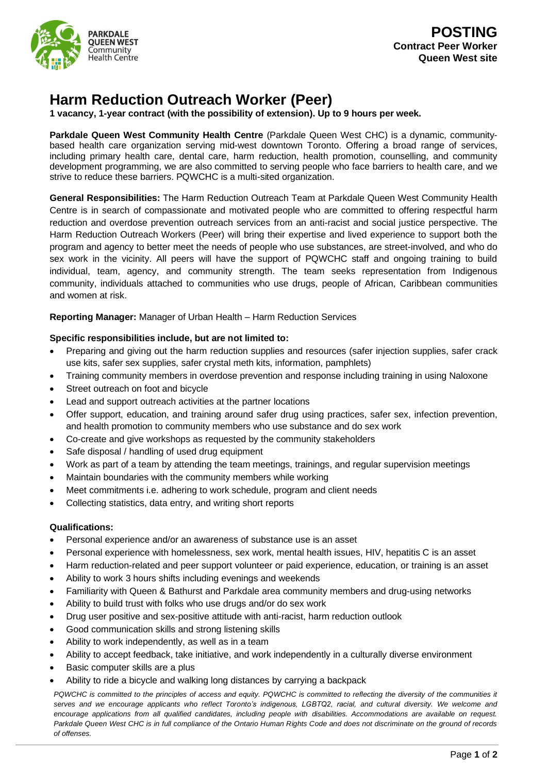

## **Harm Reduction Outreach Worker (Peer)**

**1 vacancy, 1-year contract (with the possibility of extension). Up to 9 hours per week.**

**Parkdale Queen West Community Health Centre** (Parkdale Queen West CHC) is a dynamic, communitybased health care organization serving mid-west downtown Toronto. Offering a broad range of services, including primary health care, dental care, harm reduction, health promotion, counselling, and community development programming, we are also committed to serving people who face barriers to health care, and we strive to reduce these barriers. PQWCHC is a multi-sited organization.

**General Responsibilities:** The Harm Reduction Outreach Team at Parkdale Queen West Community Health Centre is in search of compassionate and motivated people who are committed to offering respectful harm reduction and overdose prevention outreach services from an anti-racist and social justice perspective. The Harm Reduction Outreach Workers (Peer) will bring their expertise and lived experience to support both the program and agency to better meet the needs of people who use substances, are street-involved, and who do sex work in the vicinity. All peers will have the support of PQWCHC staff and ongoing training to build individual, team, agency, and community strength. The team seeks representation from Indigenous community, individuals attached to communities who use drugs, people of African, Caribbean communities and women at risk.

**Reporting Manager:** Manager of Urban Health – Harm Reduction Services

## **Specific responsibilities include, but are not limited to:**

- Preparing and giving out the harm reduction supplies and resources (safer injection supplies, safer crack use kits, safer sex supplies, safer crystal meth kits, information, pamphlets)
- Training community members in overdose prevention and response including training in using Naloxone
- Street outreach on foot and bicycle
- Lead and support outreach activities at the partner locations
- Offer support, education, and training around safer drug using practices, safer sex, infection prevention, and health promotion to community members who use substance and do sex work
- Co-create and give workshops as requested by the community stakeholders
- Safe disposal / handling of used drug equipment
- Work as part of a team by attending the team meetings, trainings, and regular supervision meetings
- Maintain boundaries with the community members while working
- Meet commitments i.e. adhering to work schedule, program and client needs
- Collecting statistics, data entry, and writing short reports

## **Qualifications:**

- Personal experience and/or an awareness of substance use is an asset
- Personal experience with homelessness, sex work, mental health issues, HIV, hepatitis C is an asset
- Harm reduction-related and peer support volunteer or paid experience, education, or training is an asset
- Ability to work 3 hours shifts including evenings and weekends
- Familiarity with Queen & Bathurst and Parkdale area community members and drug-using networks
- Ability to build trust with folks who use drugs and/or do sex work
- Drug user positive and sex-positive attitude with anti-racist, harm reduction outlook
- Good communication skills and strong listening skills
- Ability to work independently, as well as in a team
- Ability to accept feedback, take initiative, and work independently in a culturally diverse environment
- Basic computer skills are a plus
- Ability to ride a bicycle and walking long distances by carrying a backpack

*PQWCHC is committed to the principles of access and equity. PQWCHC is committed to reflecting the diversity of the communities it serves and we encourage applicants who reflect Toronto's indigenous, LGBTQ2, racial, and cultural diversity. We welcome and encourage applications from all qualified candidates, including people with disabilities. Accommodations are available on request. Parkdale Queen West CHC is in full compliance of the Ontario Human Rights Code and does not discriminate on the ground of records of offenses.*